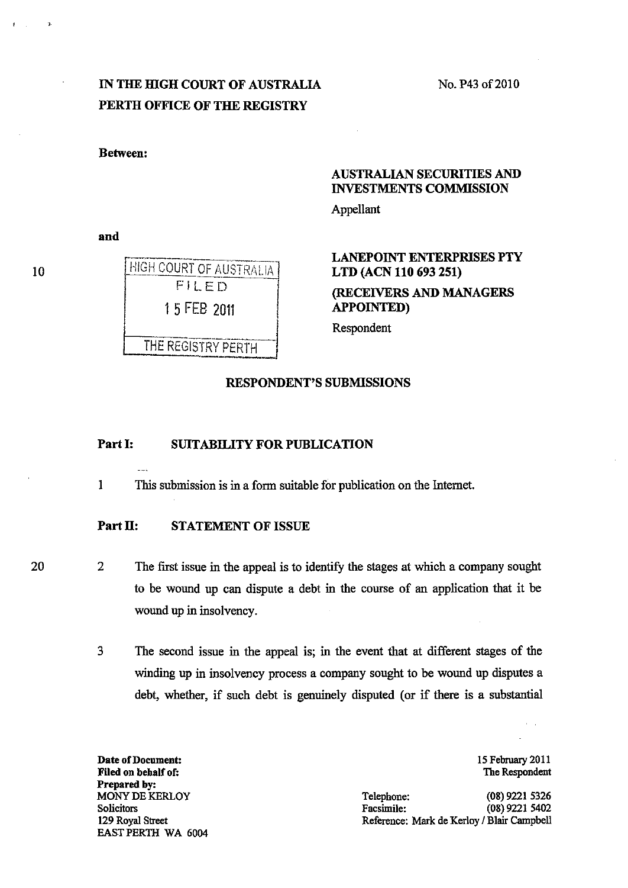No. P43 of 2010

## IN THE HIGH COURT OF AUSTRALIA PERTH OFFICE OF THE REGISTRY

Between:

## AUSTRALIAN SECURITIES AND INVESTMENTS COMMISSION

Appellant

and

# HIGH COURT OF AUSTRALIA FILED 15 FEB 2011

THE REGISTRY PERTH

## LANEPOINT ENTERPRISES PTY LTD (ACN 110 693 251)

(RECEIVERS AND MANAGERS APPOINTED)

Respondent

#### RESPONDENT'S SUBMISSIONS

### Part I: SUITABILITY FOR PUBLICATION

1 This submission is in a form suitable for publication on the Internet.

## Part II: STATEMENT OF ISSUE

20

2 The first issue in the appeal is to identify the stages at which a company sought to be wound up can dispute a debt in the course of an application that it be wound up in insolvency.

3 The second issue in the appeal is; in the event that at different stages of the winding up in insolvency process a company sought to be wound up disputes a debt, whether, if such debt is genuinely disputed (or if there is a substantial

Date of Document: Filed on behalf of: Prepared by: MONY DE KERLOY **Solicitors** 129 Royal Street EAST PERTH WA 6004 15 February 2011 The Respondent

Telephone: (08) 9221 5326 Facsimile: (08) 9221 5402 Reference: Mark de Kerloy / Blair Campbell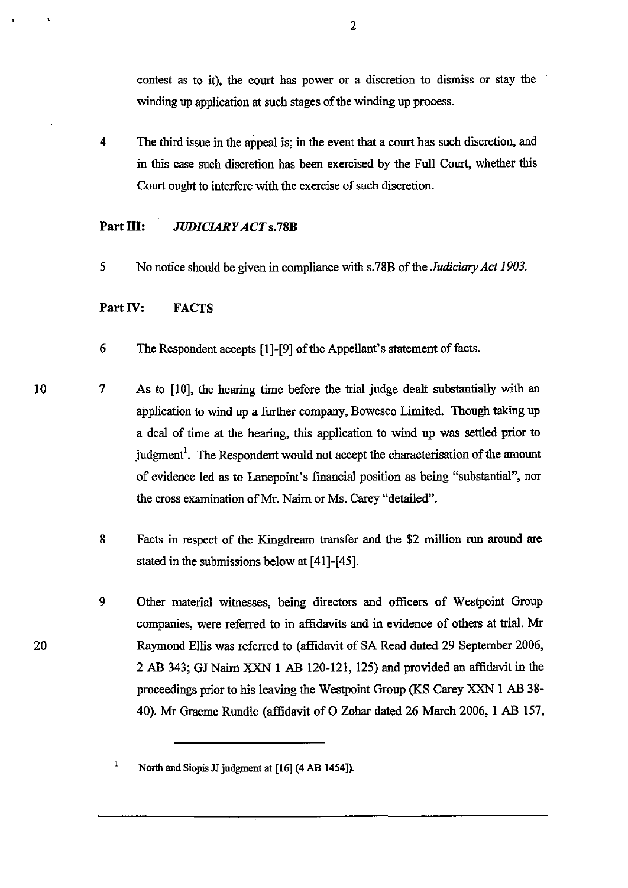contest as to it), the court has power or a discretion to· dismiss or stay the winding up application at such stages of the winding up process.

4 The third issue in the appeal is; in the event that a court has such discretion, and in this case such discretion has been exercised by the Full Court, whether this Court ought to interfere with the exercise of such discretion.

## Part III: *JUDICIARY ACT* s.78B

5 No notice should be given in compliance with s.78B of the *Judiciary Act 1903.* 

#### Part IV: FACTS

- 6 The Respondent accepts [1]-[9] of the Appellant's statement of facts.
- 7 As to [10], the hearing time before the trial judge dealt substantially with an application to wind up a further company, Bowesco Limited. Though taking up a deal of time at the hearing, this application to wind up was settled prior to judgment<sup>1</sup>. The Respondent would not accept the characterisation of the amount of evidence led as to Lanepoint's financial position as being "substantial", nor the cross examination of Mr. Nairn or Ms. Carey "detailed".
	- 8 Facts in respect of the Kingdream transfer and the \$2 million run around are stated in the submissions below at [41]-[45].
	- 9 Other material witnesses, being directors and officers of Westpoint Group companies, were referred to in affidavits and in evidence of others at trial. Mr Raymond Ellis was referred to (affidavit of SA Read dated 29 September 2006, 2 AB 343; GJ Nairn XXN 1 AB 120-121, 125) and provided an affidavit in the proceedings prior to his leaving the Westpoint Group (KS Carey XXN I AB 38- 40). Mr Graeme Rundle (affidavit of O Zohar dated 26 March 2006, 1 AB 157,

20

 $\mathbf{I}$ 

North and Siopis JJ judgment at [16] (4 AB 1454]).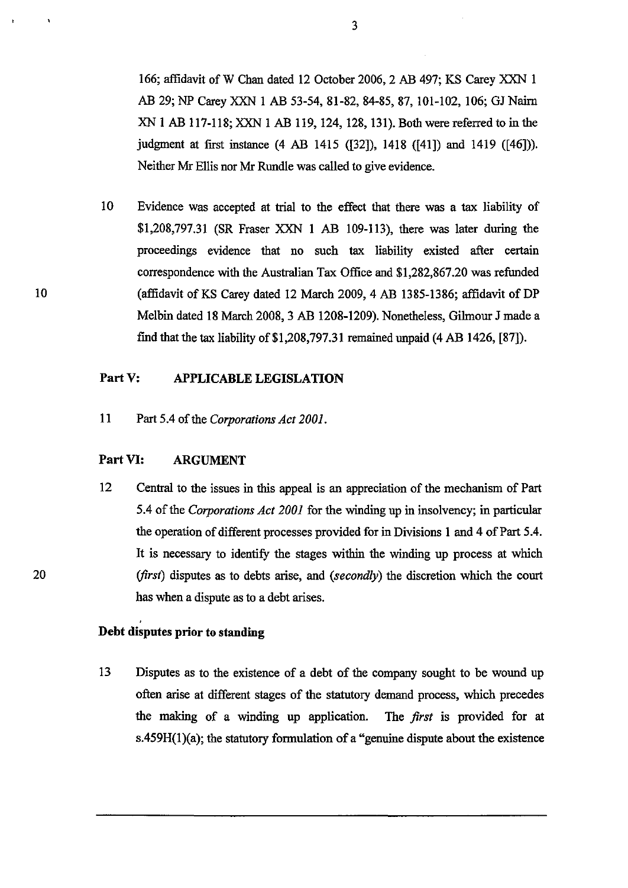166; affidavit of W Chan dated 12 October 2006, 2 AB 497; KS Carey XXN 1 AB 29; NP Carey XXN 1 AB 53-54, 81-82, 84-85, 87, 101-102, 106; GJ Nairn XN 1 AB 117-118;XXN 1 AB 119, 124, 128, 131). Both were referred to in the judgment at first instance (4 AB 1415 ([32]), 1418 ([41]) and 1419 ([46])). Neither Mr Ellis nor Mr Rundle was called to give evidence.

10 Evidence was accepted at trial to the effect that there was a tax liability of \$1,208,797.31 (SR Fraser XXN 1 AB 109-113), there was later during the proceedings evidence that no such tax liability existed after certain correspondence with the Australian Tax Office and \$1,282,867.20 was refunded (affidavit of KS Carey dated 12 March 2009, 4 AB 1385-1386; affidavit of DP Melbin dated 18 March 2008,3 AB 1208-1209). Nonetheless, Gilmour J made a find that the tax liability of  $$1,208,797.31$  remained unpaid (4 AB 1426, [87]).

## Part V: APPLICABLE LEGISLATION

11 Part 5.4 of the *Corporations Act 2001.* 

## Part VI: ARGUMENT

12 Central to the issues in this appeal is an appreciation of the mechanism of Part 5.4 of the *Corporations Act 2001* for the winding up in insolvency; in particular the operation of different processes provided for in Divisions 1 and 4 of Part 5.4. It is necessary to identify the stages within the winding up process at which *(first)* disputes as to debts arise, and *(secondly)* the discretion which the court has when a dispute as to a debt arises.

## Debt disputes prior to standing

13 Disputes as to the existence of a debt of the company sought to be wound up often arise at different stages of the statutory demand process, which precedes the making of a winding up application. The *first* is provided for at  $s.459H(1)(a)$ ; the statutory formulation of a "genuine dispute about the existence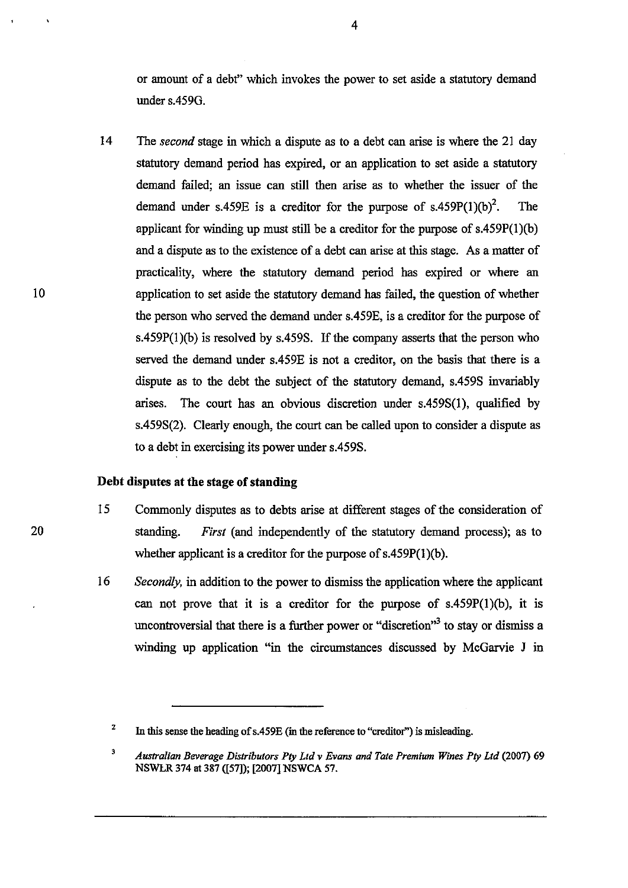or amount of a debt" which invokes the power to set aside a statutory demand under s.459G.

14 The *second* stage in which a dispute as to a debt can arise is where the 21 day statutory demand period has expired, or an application to set aside a statutory demand failed; an issue can still then arise as to whether the issuer of the demand under s.459E is a creditor for the purpose of s.459P(1)(b)<sup>2</sup>. The applicant for winding up must still be a creditor for the purpose of s.459P(I)(b) and a dispute as to the existence of a debt can arise at this stage. As a matter of practicality, where the statutory demand period has expired or where an application to set aside the statutory demand has failed, the question of whether the person who served the demand under s.459E, is a creditor for the purpose of s.459P(1)(b) is resolved by s.459S. If the company asserts that the person who served the demand under s.459E is not a creditor, on the basis that there is a dispute as to the debt the subject of the statutory demand, s.459S invariably arises. The court has an obvious discretion under s.459S(I), qualified by s.459S(2). Clearly enough, the court can be called upon to consider a dispute as to a debt in exercising its power under s.459S.

#### **Debt disputes at the** stage **of standing**

- 15 Commonly disputes as to debts arise at different stages of the consideration of standing. *First* (and independently of the statutory demand process); as to whether applicant is a creditor for the purpose of s.459P(I)(b).
- 16 *Secondly*, in addition to the power to dismiss the application where the applicant can not prove that it is a creditor for the purpose of s.459P(I)(b), it is uncontroversial that there is a further power or "discretion"<sup>3</sup> to stay or dismiss a winding up application "in the circumstances discussed by McGarvie J in

<sup>2</sup>  In this sense the beading of s.459E (in the reference to "creditor") is misleading.

<sup>3</sup>  *Australian Beverage Distributors Ply Lld* v *Evans and Tale Premium Wines Ply Lld* (2007) 69 NSWLR 374 at 387 ([57]); [2007] NSWCA 57.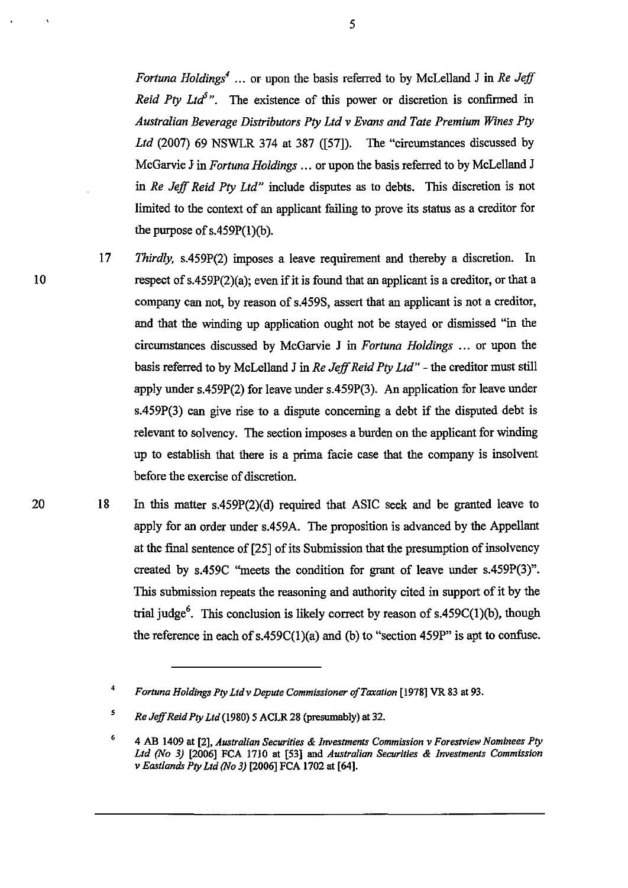*Fortuna Holdings<sup>4</sup>* ... or upon the basis referred to by McLelland J in *Re Jeff Reid Pty Ltd<sup>5</sup>*". The existence of this power or discretion is confirmed in *Australian Beverage Distributors Pty Ltd* v *Evans and Tate Premium Wines Pty Ltd* (2007) 69 NSWLR 374 at 387 ([57]). The "circumstances discussed by McGarvie J in *Fortuna Holdings ...* or upon the basis referred to by McLelland J in *Re Jeff Reid Pty Ltd*" include disputes as to debts. This discretion is not limited to the context of an applicant failing to prove its status as a creditor for the purpose of s.459P(I)(b).

10

17

*Thirdly,* s.459P(2) imposes a leave requirement and thereby a discretion. In respect of s.459P(2)(a); even if it is found that an applicant is a creditor, or that a company can not, by reason of s.459S, assert that an applicant is not a creditor, and that the winding up application ought not be stayed or dismissed "in the circumstances discussed by McGarvie J in *Fortuna Holdings* ... or upon the basis referred to by McLelland J in *Re Jejf Reid Pty Ltd"* - the creditor must still apply under s.459P(2) for leave under s.459P(3). An application for leave under s.459P(3) can give rise to a dispute concerning a debt if the disputed debt is relevant to solvency. The section imposes a burden on the applicant for winding up to establish that there is a prima facie case that the company is insolvent before the exercise of discretion.

20 18 In this matter s.459P(2)(d) required that ASIC seek and be granted leave to apply for an order under s.459A. The proposition is advanced by the Appellant at the final sentence of [25] of its Submission that the presumption of insolvency created by s.459C "meets the condition for grant of leave under s.459P(3)". 1bis submission repeats the reasoning and authority cited in support of it by the trial judge<sup>6</sup>. This conclusion is likely correct by reason of s.459C(1)(b), though the reference in each of  $s.459C(1)(a)$  and (b) to "section  $459P$ " is apt to confuse.

<sup>4</sup>  *Fortuna Holdings Pty Ltd* v *Depute Commissioner of Taxation* [1978] VR 83 at 93.

<sup>5</sup>  *Re JejJ Reid Pty Ltd* (1980) 5 ACLR 28 (presumably) at 32.

<sup>6</sup>  4 AB 1409 at [2], *Australian Securities* & *Investments Commission* v *Forestview Nominees Pty Ltd (No* 3) [2006] FCA 1710 at [53] and *Australian Securities* & *Investments Commission*  v *Eastlands Pty Ltd (No* 3) [2006] FCA 1702 at [64].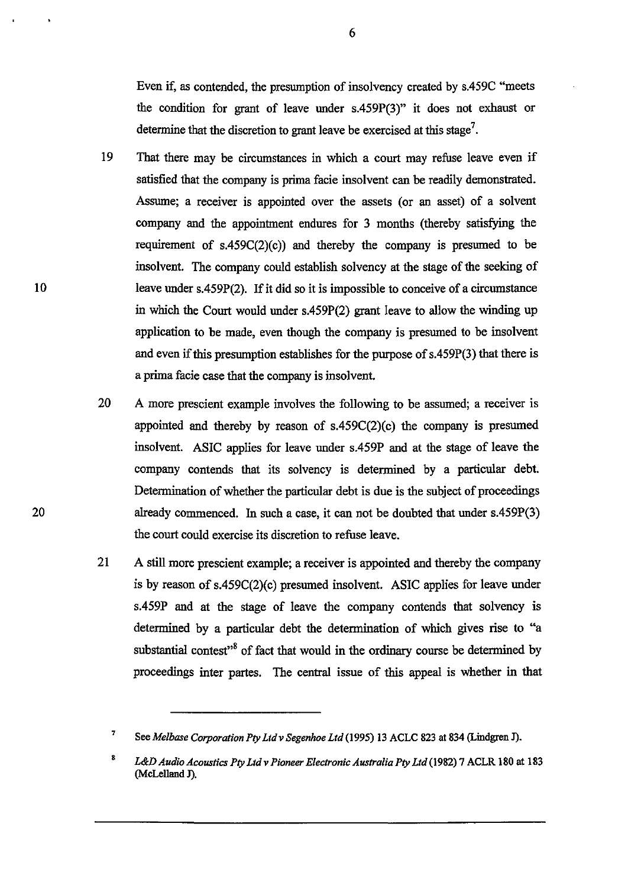Even if, as contended, the presumption of insolvency created by s.459C "meets the condition for grant of leave under s.459P(3)" it does not exhaust or determine that the discretion to grant leave be exercised at this stage<sup>7</sup>.

- 19 That there may be circumstances in which a court may refuse leave even if satisfied that the company is prima facie insolvent can be readily demonstrated. Assume; a receiver is appointed over the assets (or an asset) of a solvent company and the appointment endures for 3 months (thereby satisfying the requirement of  $s.459C(2)(c)$  and thereby the company is presumed to be insolvent. The company could establish solvency at the stage of the seeking of leave under s.459P(2). If it did so it is impossible to conceive of a circumstance in which the Court would under s.459P(2) grant leave to allow the winding up application to be made, even though the company is presumed to be insolvent and even if this presumption establishes for the purpose of s.459P(3) that there is a prima facie case that the company is insolvent.
- 20 A more prescient example involves the following to be assumed; a receiver is appointed and thereby by reason of  $s.459C(2)(c)$  the company is presumed insolvent. ASIC applies for leave under s.459P and at the stage of leave the company contends that its solvency is determined by a particular debt. Determination of whether the particular debt is due is the subject of proceedings already commenced. In such a case, it can not be doubted that under s.459P(3) the court could exercise its discretion to refuse leave.
- 21 A still more prescient example; a receiver is appointed and thereby the company is by reason of s.459C(2)(c) presumed insolvent. ASIC applies for leave under s.459P and at the stage of leave the company contends that solvency is determined by a particular debt the determination of which gives rise to "a substantial contest"<sup>8</sup> of fact that would in the ordinary course be determined by proceedings inter partes. The central issue of this appeal is whether in that

10

<sup>7</sup>  See *Melbase Corporation Ply Ltd* v *Segenhoe Ltd* (1995) 13 ACLC 823 at 834 (Lindgren J).

<sup>8</sup>  *L&D Audio Acoustics Ply Lld* v *Pioneer Electronic Australia Ply Ltd* (1982) 7 ACLR 180 at 183 (McLelland J).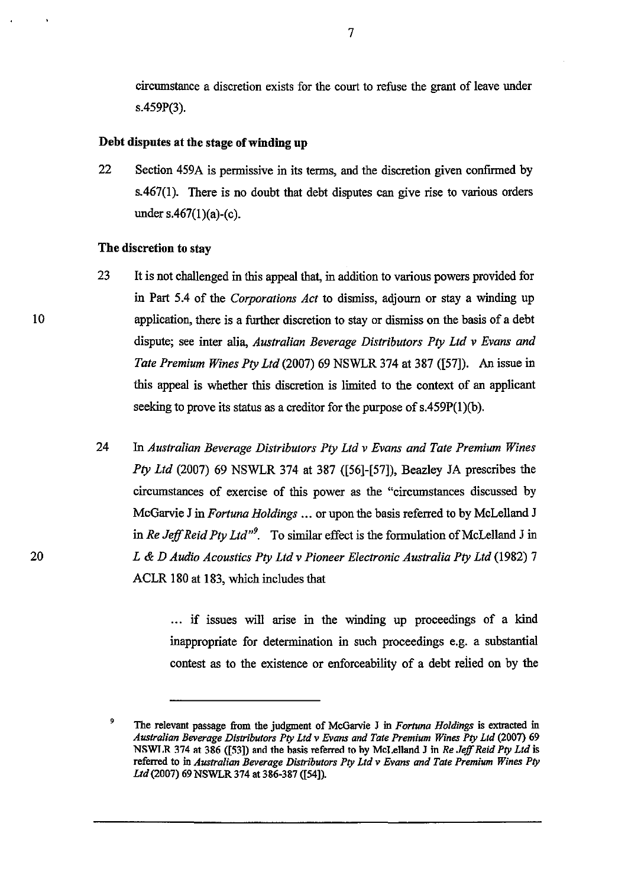circumstance a discretion exists for the court to refuse the grant of leave under s.459P(3).

#### Debt disputes at the stage of winding up

22 Section 459A is pennissive in its terms, and the discretion given confirmed by s.467(1). There is no doubt that debt disputes can give rise to various orders under s.467 $(1)(a)-(c)$ .

#### The discretion to stay

- 23 It is not challenged in this appeal that, in addition to various powers provided for in Part 5.4 of the *Corporations Act* to dismiss, adjourn or stay a winding up application, there is a further discretion to stay or dismiss on the basis of a debt dispute; see inter alia, *Australian Beverage Distributors Pty Ltd* v *Evans and Tate Premium Wines Pty Ltd* (2007) 69 NSWLR 374 at 387 ([57]). An issue in this appeal is whether this discretion is limited to the context of an applicant seeking to prove its status as a creditor for the purpose of  $s.459P(1)(b)$ .
- 24 In *Australian Beverage Distributors Pty Ltd* v *Evans and Tate Premium Wines Pty Ltd* (2007) 69 NSWLR 374 at 387 ([56]-[57]), Beazley JA prescribes the circumstances of exercise of this power as the "circumstances discussed by McGarvie J in *Fortuna Holdings ...* or upon the basis referred to by McLelland J in *Re Jeff Reid Pty Ltd*<sup>19</sup>. To similar effect is the formulation of McLelland J in *L* & *D Audio Acoustics Pty Ltd* v *Pioneer Electronic Australia Pty Ltd* (1982) 7 ACLR 180 at 183, which includes that

... if issues will arise in the winding up proceedings of a kind inappropriate for detennination in such proceedings e.g. a substantial contest as to the existence or enforceability of a debt reiied on by the

7

<sup>•</sup>  The relevant passage from the judgment of McGarvie J in *Fortuna Holdings* is extracted in *Australian Beverage Distributors Ply Ltd* v *Evans and Tate Premium Wines Ply Ltd* (2007) 69 NSWLR 374 at 386 ([53]) and the basis referred to hy McLelland J in *Re Jeff Reid Pty Ltd* is referred to in *Australian Beverage Distributors Ply Ltd* v *Evans and Tate Premium Wines Ply Ltd* (2007) 69 NSWLR 374 at 386-387 ([54]).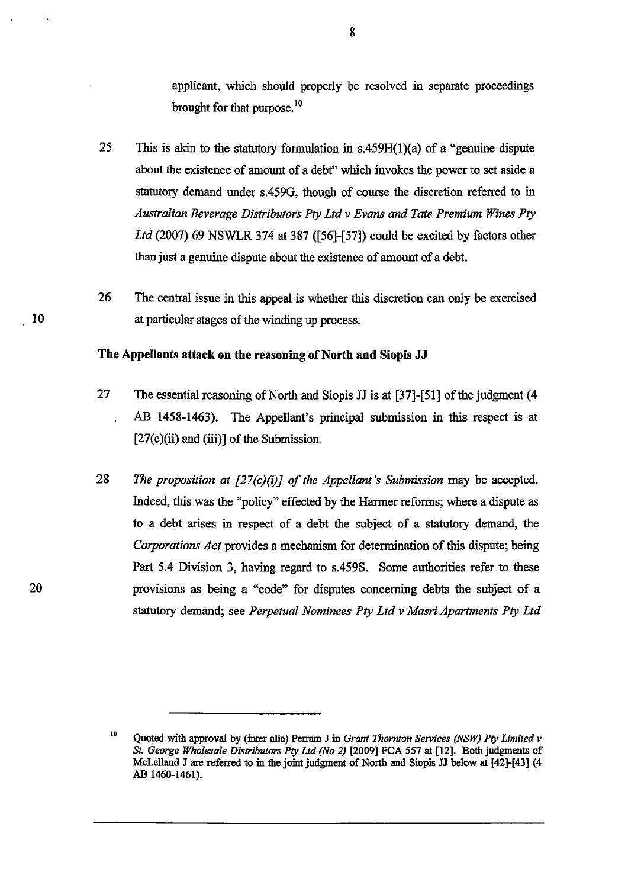applicant, which should properly be resolved in separate proceedings brought for that purpose. $^{10}$ 

- 25 This is akin to the statutory formulation in  $s.459H(1)(a)$  of a "genuine dispute about the existence of amount of a debt" which invokes the power to set aside a statutory demand under s.459G, though of course the discretion referred to in *Australian Beverage Distributors Ply Ltd v Evans and Tate Premium Wines Ply Ltd* (2007) 69 NSWLR 374 at 387 ([56]-[57]) could be excited by factors other than just a genuine dispute about the existence of amount of a debt.
- 26 The central issue in this appeal is whether this discretion can only be exercised at particular stages of the winding up process.

#### The Appellants attack on the reasoning of North and Siopis **JJ**

- 27 The essential reasoning of North and Siopis JJ is at [37]-[51] of the judgment (4 AB 1458-1463). The Appellant's principal submission in this respect is at  $[27(c)(ii)$  and  $(iii)]$  of the Submission.
- 28 *The proposition at [27(c)(i)] of the Appellant's Submission* may be accepted. Indeed, this was the "policy" effected by the Harmer reforms; where a dispute as to a debt arises in respect of a debt the subject of a statutory demand, the *Corporations Act* provides a mechanism for determination of this dispute; being Part 5.4 Division 3, having regard to s.459S. Some authorities refer to these provisions as being a "code" for disputes concerning debts the subject of a statutory demand; see *Perpetual Nominees Ply Ltd v Masri Apartments Ply Ltd*

<sup>10</sup>  Quoted with approval by (inter alia) Perram J in *Grant Thornton Services (NSW) Pty Limited v St. George Wholesale Distributors Ply Ltd (No* 2) [2009] FCA 557 at [12]. Both judgments of McLelland J are referred to in the joint judgment of North and Siopis JJ below at [42]-[43] (4 AB 1460-1461).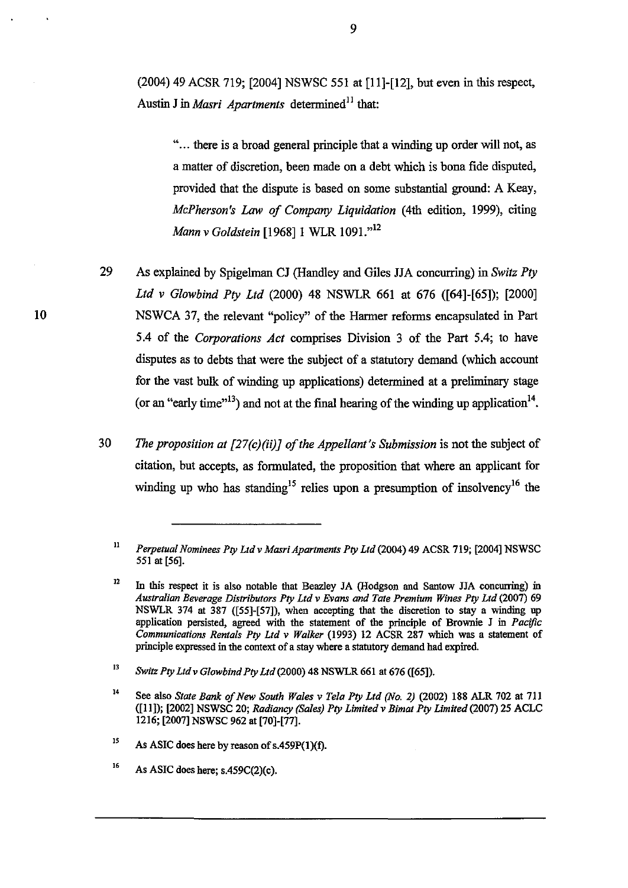(2004) 49 ACSR 719; [2004] NSWSC 551 at [11 **]-[12],** but even in this respect, Austin J in *Masri Apartments* determined<sup>11</sup> that:

"... there is a broad general principle that a winding up order will not, as a matter of discretion, been made on a debt which is bona fide disputed, provided that the dispute is based on some substantial ground: A Keay, *McPherson's Law of Company Liquidation* (4th edition, 1999), citing *Mann v Goldstein* [1968] 1 WLR 1091."<sup>12</sup>

29 As explained by Spigelman CJ (Handley and Giles JJA concurring) in *Switz Pty Ltd* v *Glowbind Pty Ltd* (2000) 48 NSWLR 661 at 676 ([64]-[65]); [2000] NSWCA 37, the relevant "policy" of the Hanner reforms encapsulated in Part 5.4 of the *Corporations Act* comprises Division 3 of the Part 5.4; to have disputes as to debts that were the subject of a statutory demand (which account for the vast bulk of winding up applications) determined at a preliminary stage (or an "early time"<sup>13</sup>) and not at the final hearing of the winding up application<sup>14</sup>.

*30 The proposition at [27(c)(ii)] of the Appellant's Submission* is not the subject of citation, but accepts, as formulated, the proposition that where an applicant for winding up who has standing<sup>15</sup> relies upon a presumption of insolvency<sup>16</sup> the

12 In this respect it is also notable that Beazley JA (Hodgson and Santow JJA concurring) in *Australian Beverage Distributors Ply Ltd* v *Evans and Tate Premium Wines Ply Ltd* (2007) 69 NSWLR 374 at 387 ([55]-[57]), when accepting that the discretion to stay a winding up application persisted, agreed with the statement of the principle of Brownie J in *Pacific Communications Rentals Ply Ltd* v *Walker* (1993) 12 ACSR 287 which was a statement of principle expressed in the context of a stay where a statutory demand had expired.

<sup>11</sup>  *Perpetual Nominees Ply Ltd* v *Masri Apartments Ply Ltd* (2004) 49 ACSR 719; [2004) NSWSC 551 at [56).

<sup>13</sup>  *Switz Ply Ltdv Glawbind Ply Ltd* (2000) 48 NSWLR 661 at 676 ([65)).

<sup>14</sup>  See also *State Bank of New South Wales* v *Tela Pty Ltd (No.* 2) (2002) 188 ALR 702 at 711 ([11)); [2002) NSWSC 20; *Radiancy (Sales) Pty Limited* v *Bimat Pty Limited* (2007) 25 ACLC 1216; [2007) NSWSC 962 at [70)-[77).

IS As ASIC does here by reason of s.459P(I)(f).

<sup>16</sup>  As ASIC does here; s.459C(2)(c).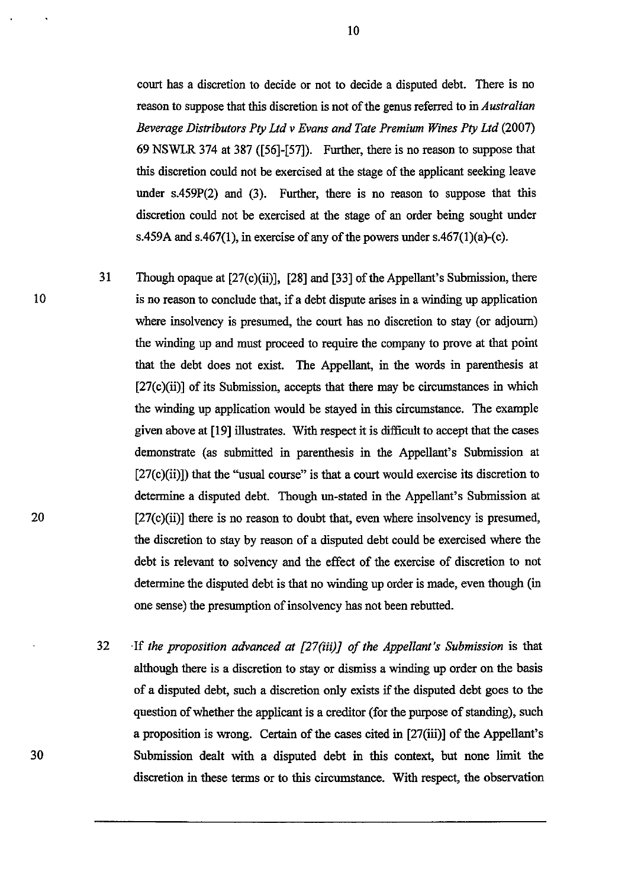court has a discretion to decide or not to decide a disputed debt. There is no reason to suppose that this discretion is not of the genus referred to in *Australian Beverage Distributors Pty Ltd* v *Evans and Tate Premium Wines Pty Ltd (2007)*  69 NSWLR 374 at 387 ([56]-[57]). Further, there is no reason to suppose that this discretion could not be exercised at the stage of the applicant seeking leave under s.459P(2) and (3). Further, there is no reason to suppose that this discretion could not be exercised at the stage of an order being sought under s.459A and s.467(1), in exercise of any of the powers under s.467(1)(a)-(c).

- 31 Though opaque at [27(c)(ii)], [28] and [33] of the Appellant's Submission, there is no reason to conclude that, if a debt dispute arises in a winding up application where insolvency is presumed, the court has no discretion to stay (or adjourn) the winding up and must proceed to require the company to prove at that point that the debt does not exist. The Appellant, in the words in parenthesis at  $[27(c)(ii)]$  of its Submission, accepts that there may be circumstances in which the winding up application would be stayed in this circumstance. The example given above at [19] illustrates. With respect it is difficult to accept that the cases demonstrate (as submitted in parenthesis in the Appellant's Submission at  $[27(c)(ii)]$ ) that the "usual course" is that a court would exercise its discretion to determine a disputed debt. Though un-stated in the Appellant's Submission at  $[27(c)(ii)]$  there is no reason to doubt that, even where insolvency is presumed, the discretion to stay by reason of a disputed debt could be exercised where the debt is relevant to solvency and the effect of the exercise of discretion to not determine the disputed debt is that no winding up order is made, even though (in one sense) the presumption of insolvency has not been rebutted.
- 32 ·If *the proposition advanced at [27(;;i)J of the Appellant's Submission* is that although there is a discretion to stay or dismiss a winding up order on the basis of a disputed debt, such a discretion only exists if the disputed debt goes to the question of whether the applicant is a creditor (for the purpose of standing), such a proposition is wrong. Certain of the cases cited in [27(iii)] of the Appellant's Submission dealt with a disputed debt in this context, but none **limit** the discretion in these terms or to this circumstance. With respect, the observation

20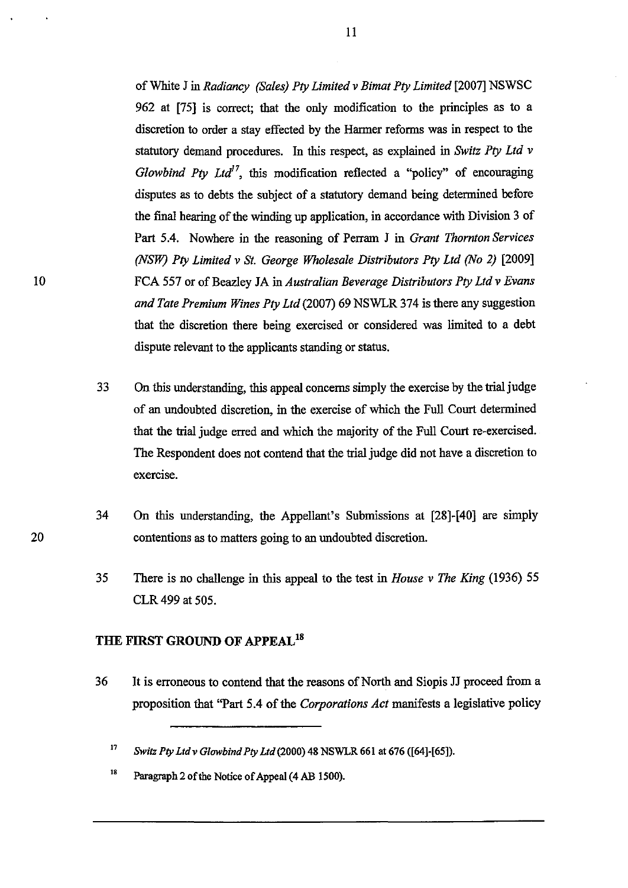of White J in *Radiancy (Sales) Pty Limited* v *Bimat Pty Limited* [2007] NSWSC 962 at [75] is correct; that the only modification to the principles as to a discretion to order a stay effected by the Harmer reforms was in respect to the statutory demand procedures. In this respect, as explained in *Switz Pty Ltd* v *Glowbind Pty Ltd<sup>17</sup>*, this modification reflected a "policy" of encouraging disputes as to debts the subject of a statutory demand being determined before the final hearing of the winding up application, in accordance with Division 3 of Part 5.4. Nowhere in the reasoning of Perram J in *Grant Thornton Services (NSW) Pty Limited* v *St. George Wholesale Distributors Pty Ltd (No* 2) [2009] FCA 557 or of Beazley JA in *Australian Beverage Distributors Pty Ltd* v *Evans and Tate Premium Wines Pty Ltd* (2007) 69 NSWLR 374 is there any suggestion that the discretion there being exercised or considered was limited to a debt dispute relevant to the applicants standing or status.

- 33 On this understanding, this appeal concerns simply the exercise by the trialjudge of an undoubted discretion, in the exercise of which the Fnll Court determined that the trial judge erred and which the majority of the Full Court re-exercised. The Respondent does not contend that the trial judge did not have a discretion to exercise.
- 34 On this understanding, the Appellant's Submissions at [28]-[40] are simply contentions as to matters going to an undoubted discretion.
- 35 There is no challenge in this appeal to the test in *House* v *The King* (1936) 55 CLR 499 at 505.

## **THE FIRST GROUND OF APPEAL<sup>18</sup>**

36 It is erroneous to contend that the reasons of North and Siopis JJ proceed from a proposition that "Part 5.4 of the *Corporations Act* manifests a legislative policy

<sup>17</sup>*Switz Pty Lld* v *Glowbind Pty Lld* (2000) 48 NSWLR 661 at 676 ([64]-[65]).

<sup>18</sup> Paragraph 2 of the Notice of Appeal (4 AB 1500).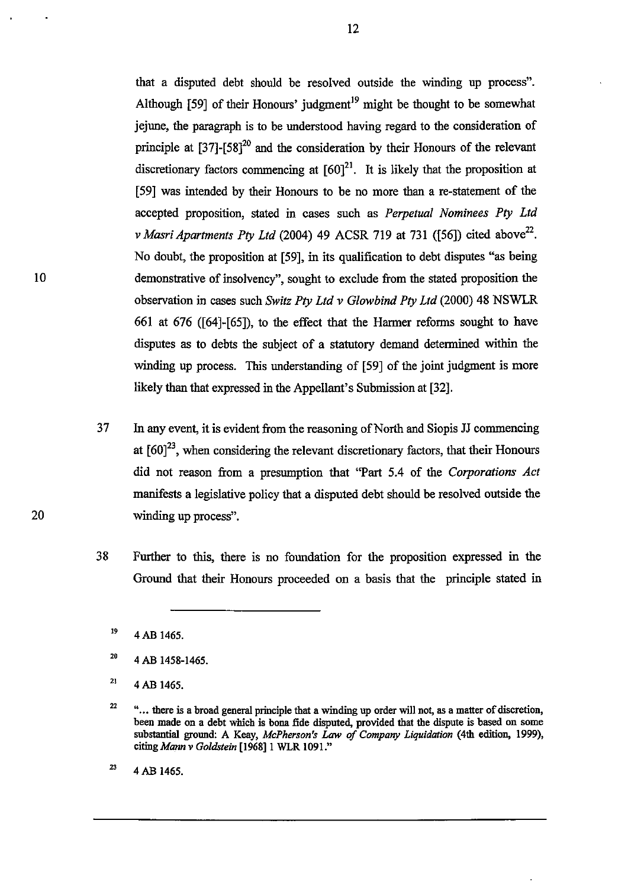that a disputed debt should be resolved outside the winding up process". Although  $[59]$  of their Honours' judgment<sup>19</sup> might be thought to be somewhat jejune, the paragraph is to be understood having regard to the consideration of principle at  $[37]$ - $[58]^{20}$  and the consideration by their Honours of the relevant discretionary factors commencing at  $[60]^{21}$ . It is likely that the proposition at [59] was intended by their Honours to be no more than a re-statement of the accepted proposition, stated in cases such as *Perpetual Nominees Pty Ltd*  v *Masri Apartments Pty Ltd* (2004) 49 ACSR 719 at 731 ([56]) cited above<sup>22</sup>. No doubt, the proposition at [59], in its qualification to debt disputes "as being demonstrative of insolvency", sought to exclude from the stated proposition the observation in cases such *Switz Pty Ltd* v *Glowbind Pty Ltd* (2000) 48 NSWLR 661 at 676 ([64]-[65]), to the effect that the Harmer refonns sought to have disputes as to debts the subject of a statutory demand detennined within the winding up process. This understanding of [59] of the joint judgment is more likely than that expressed in the Appellant's Submission at [32].

- 37 In any event, it is evident from the reasoning of North and Siopis JJ commencing at  $[60]^{23}$ , when considering the relevant discretionary factors, that their Honours did not reason from a presumption that "Part 5.4 of the *Corporations Act*  manifests a legislative policy that a disputed debt should be resolved outside the winding up process".
- 38 Further to this, there is no foundation for the proposition expressed in the Ground that their Honours proceeded on a basis that the principle stated in

<sup>19</sup>  4AB 1465.

<sup>20</sup>  4 AB 1458-1465.

<sup>21</sup>  4AB 1465.

<sup>22</sup>  "... there is a broad general principle that a winding up order will not, as a matter of discretion, been made on a debt which is bona fide disputed, provided that the dispute is based on some substantial ground: A Keay, *McPherson's Law of Company Liquidation* (4th edition, 1999), *citiugMann v Goldstein* [1968]1 WLR 1091."

<sup>23</sup>  4 AB 1465.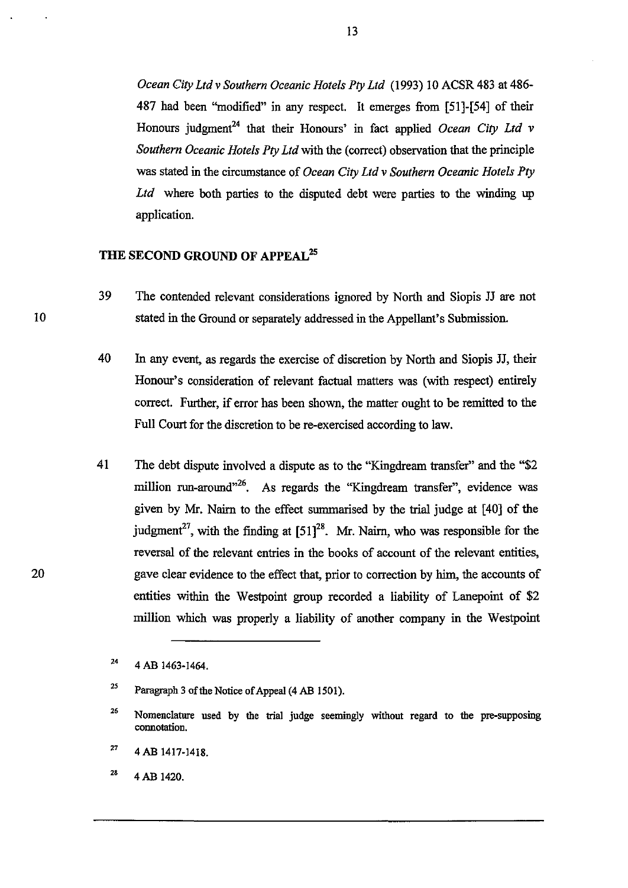*Ocean City Ltd* v *Southern Oceanic Hotels Pty Ltd* (1993) 10 ACSR 483 at 486- 487 had been "modified" in any respect. It emerges from [51]-[54] of their Honours judgment<sup>24</sup> that their Honours' in fact applied *Ocean City Ltd v Southern Oceanic Hotels Pty Ltd* with the (correct) observation that the principle was stated in the circumstance of *Ocean City Ltd* v *Southern Oceanic Hotels Pty*  Ltd where both parties to the disputed debt were parties to the winding up application.

## THE SECOND GROUND OF APPEAL<sup>25</sup>

- 39 The contended relevant considerations ignored by North and Siopis JJ are not stated in the Ground or separately addressed in the Appellant's Submission.
- 40 In any event, as regards the exercise of discretion by North and Siopis JJ, their Honour's consideration of relevant factual matters was (with respect) entirely correct. Further, if error has been shown, the matter ought to be remitted to the Full Court for the discretion to be re-exercised according to law.
- 41 The debt dispute involved a dispute as to the "Kingdream transfer" and the "\$2 million run-around<sup>326</sup>. As regards the "Kingdream transfer", evidence was given by Mr. Nairn to the effect summarised by the trial judge at [40] of the judgment<sup>27</sup>, with the finding at  $[51]^{28}$ . Mr. Nairn, who was responsible for the reversal of the relevant entries in the books of account of the relevant entities, gave clear evidence to the effect that, prior to correction by him, the accounts of entities within the Westpoint group recorded a liability of Lanepoint of \$2 million which was properly a liability of another company in the Westpoint

<sup>24</sup>  4 AB 1463-1464.

<sup>25</sup>  Paragraph 3 of the Notice of Appeal (4 AB 1501).

<sup>26</sup>  Nomenclature used by the trial judge seemingly without regard to the pre-supposing connotation.

<sup>27</sup>  4 AB 1417-1418.

<sup>28</sup> 4AB 1420.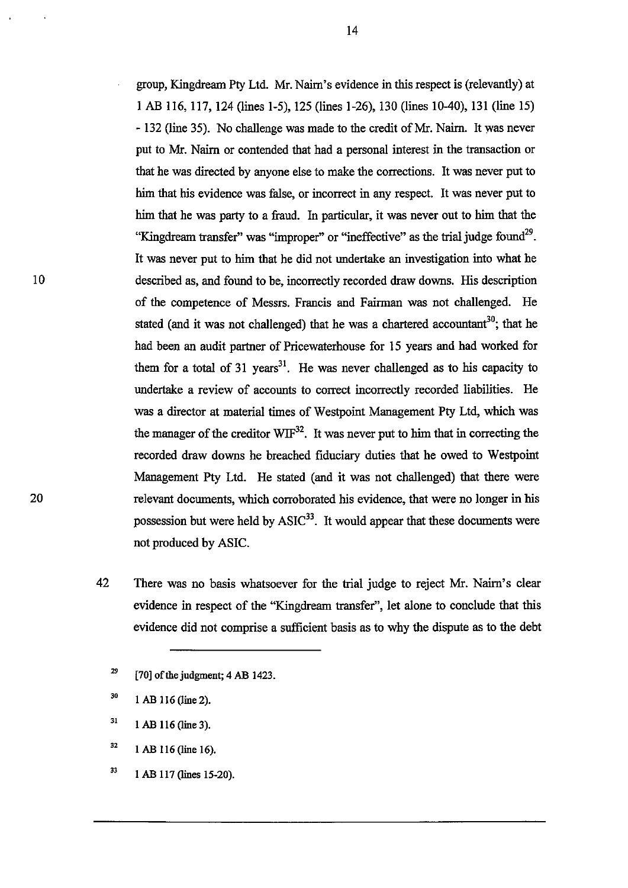group, Kingdream Pty Ltd. Mr. Nairn's evidence in this respect is (relevantly) at 1 AB 116, 117, 124 (lines 1-5), 125 (lines 1-26), 130 (lines 10-40), 131 (line 15) - 132 (line 35). No challenge was made to the credit of Mr. Nairn. It was never put to Mr. Nairn or contended that had a personal interest in the transaction or that he was directed by anyone else to make the corrections. It was never put to him that his evidence was false, or incorrect in any respect. It was never put to him that he was party to a fraud. In particular, it was never out to him that the "Kingdream transfer" was "improper" or "ineffective" as the trial judge found<sup>29</sup>. It was never put to him that he did not undertake an investigation into what he described as, and found to be, incorrectly recorded draw downs. His description of the competence of Messrs. Francis and Fairman was not challenged. He stated (and it was not challenged) that he was a chartered accountant<sup>30</sup>; that he had been an audit partner of Pricewaterhouse for 15 years and had worked for them for a total of 31 years<sup>31</sup>. He was never challenged as to his capacity to undertake a review of accounts to correct incorrectly recorded liabilities. He was a director at material times of Westpoint Management Pty Ltd, which was the manager of the creditor  $W1F^{32}$ . It was never put to him that in correcting the recorded draw downs he breached fiduciary duties that he owed to Westpoint Management Pty Ltd. He stated (and it was not challenged) that there were relevant documents, which corroborated his evidence, that were no longer in his possession but were held by  $ASIC^{33}$ . It would appear that these documents were not produced by ASIC.

42 There was no basis whatsoever for the trial judge to reject Mr. Nairn's clear evidence in respect of the "Kingdream transfer", let alone to conclude that this evidence did not comprise a sufficient basis as to why the dispute as to the debt

33 1 AB 117 (lines 15-20). 14

<sup>29</sup>  [70] of the judgment; 4 AB 1423.

<sup>30</sup>  1 AB 116 (line 2).

<sup>31</sup>  1 AB 116 (line 3).

<sup>32</sup>  1 AB 116 (line 16).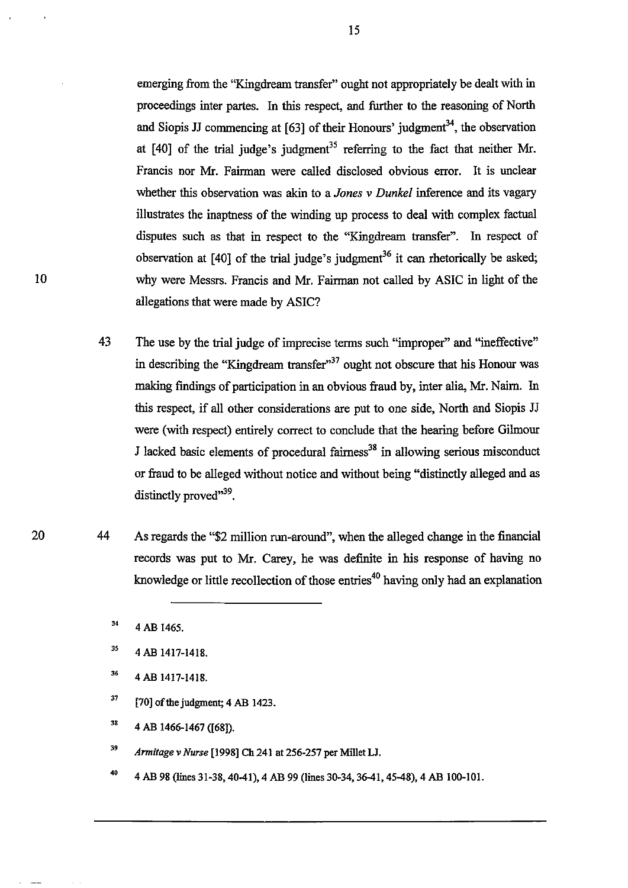emerging from the "Kingdream transfer" ought not appropriately be dealt with in proceedings inter partes. In this respect, and further to the reasoning of North and Siopis JJ commencing at  $[63]$  of their Honours' judgment<sup>34</sup>, the observation at  $[40]$  of the trial judge's judgment<sup>35</sup> referring to the fact that neither Mr. Francis nor Mr. Fairman were called disclosed obvious error. It is unclear whether this observation was akin to a *Jones* v *Dunkel* inference and its vagary illustrates the inaptness of the winding up process to deal with complex factual disputes such as that in respect to the "Kingdream transfer". In respect of observation at  $[40]$  of the trial judge's judgment<sup>36</sup> it can rhetorically be asked; why were Messrs. Francis and Mr. Fairman not called by ASIC in light of the allegations that were made by ASIC?

- 43 The use by the trial judge of imprecise terms such "improper" and "ineffective" in describing the "Kingdream transfer"<sup>37</sup> ought not obscure that his Honour was making findings of participation in an obvious fraud by, inter alia, Mr. Nairn. In this respect, if all other considerations are put to one side, North and Siopis JJ were (with respect) entirely correct to conclude that the hearing before Gilmour J lacked basic elements of procedural fairness<sup>38</sup> in allowing serious misconduct or fraud to be alleged without notice and without being "distinctly alleged and as distinctly proved $^{339}$ .
- 44 As regards the "\$2 million run-around", when the alleged change in the financial records was put to Mr. Carey, he was definite in his response of having no knowledge or little recollection of those entries<sup>40</sup> having only had an explanation

34 4 AB 1465.

- 3S 4 AB 1417-1418.
- 36 4 AB 1417-1418.
- 37 [70] of the judgment; 4 AB 1423.
- 38 4 AB 1466-1467 ([68]).
- 39 *Ami/age* v *Nurse* [1998] Ch 241 at 256-257 per Millet LJ.
- 40 4 AB 98 (lines 31-38, 40-41), 4 AB 99 (lines 30-34, 36-41, 45-48), 4 AB 100-101.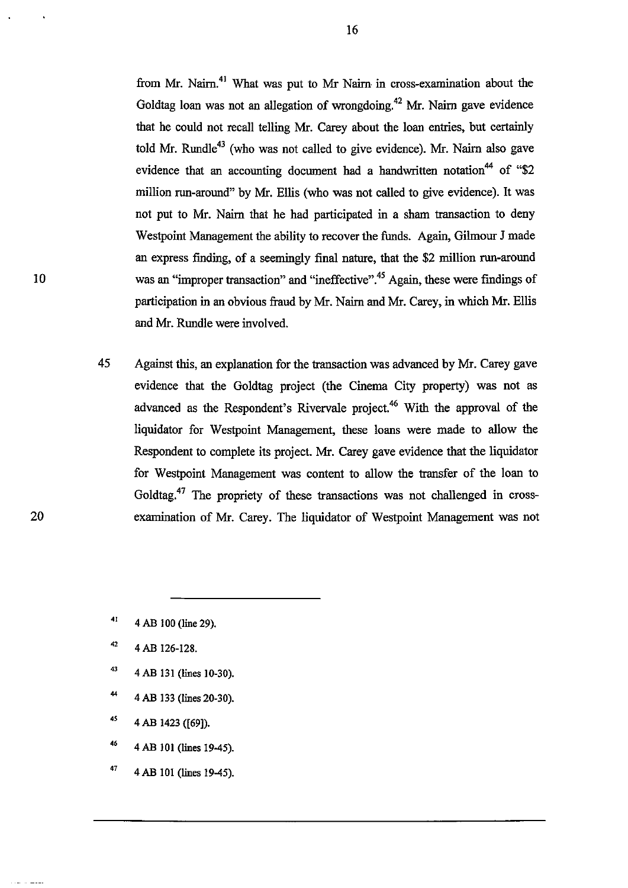from Mr. Nairn.<sup>41</sup> What was put to Mr Nairn in cross-examination about the Goldtag loan was not an allegation of wrongdoing.<sup>42</sup> Mr. Nairn gave evidence that he could not recall telling Mr. Carey about the loan entries, but certainly told Mr. Rundle<sup>43</sup> (who was not called to give evidence). Mr. Nairn also gave evidence that an accounting document had a handwritten notation<sup>44</sup> of "\$2 million run-around" by Mr. Ellis (who was not called to give evidence). It was not put to Mr. Nairn that he had participated in a sham transaction to deny Westpoint Management the ability to recover the funds. Again, Gilmour J made an express finding, of a seemingly final nature, that the \$2 million run-around was an "improper transaction" and "ineffective".<sup>45</sup> Again, these were findings of participation in an obvious fraud by Mr. Nairn and Mr. Carey, in which Mr. EIlis and Mr. Rundle were involved.

45 Against this, an explanation for the transaction was advanced by Mr. Carey gave evidence that the Goldtag project (the Cinema City property) was not as advanced as the Respondent's Rivervale project.<sup>46</sup> With the approval of the liquidator for Westpoint Management, these loans were made to allow the Respondent to complete its project. Mr. Carey gave evidence that the liquidator for Westpoint Management was content to allow the transfer of the loan to Goldtag.<sup>47</sup> The propriety of these transactions was not challenged in crossexamination of Mr. Carey. The liquidator of Westpoint Management was not

- 42 4 AB 126-128.
- 43 4 AB 131 (lines 10-30).
- 44 4 AB 133 (lines 20-30).
- $45$  4 AB 1423 ([69]).
- 46 4 AB 101 (lines 19-45).
- 47 4 AB 101 (lines 19-45).

16

<sup>41 4</sup> AB 100 (line 29).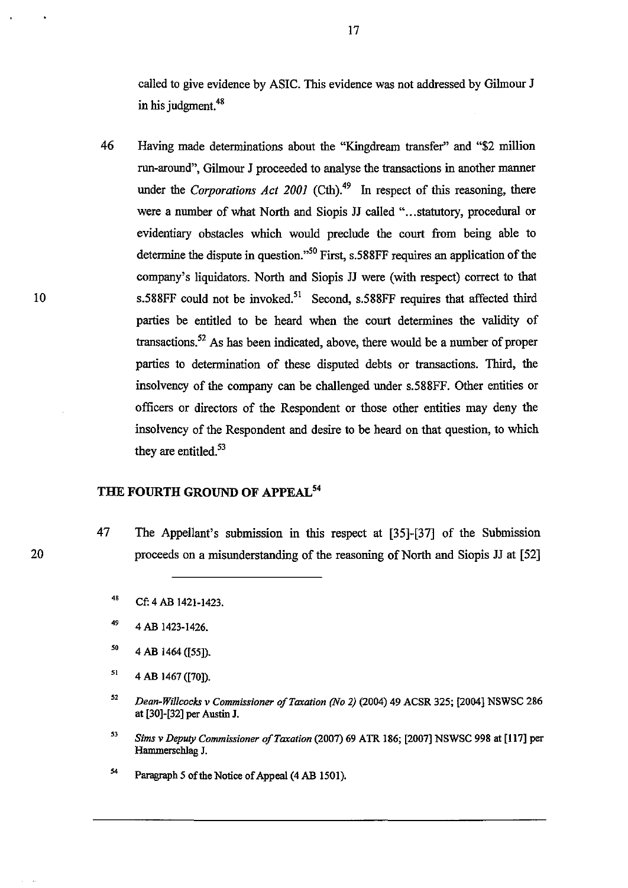called to give evidence by ASIC. This evidence was not addressed by Gilmour J in his judgment.<sup>48</sup>

46 Having made detenninations about the "Kingdream transfer" and "\$2 million run-around", Gilmour J proceeded to analyse the transactions in another manner under the *Corporations Act 2001* (Cth).<sup>49</sup> In respect of this reasoning, there were a number of what North and Siopis JJ called "... statutory, procedural or evidentiary obstacles which would preclude the court from being able to determine the dispute in question.<sup> $,50$ </sup> First, s.588FF requires an application of the company's liquidators. North and Siopis JJ were (with respect) correct to that s.588FF could not be invoked.<sup>51</sup> Second, s.588FF requires that affected third parties be entitled to be heard when the court determines the validity of transactions.<sup>52</sup> As has been indicated, above, there would be a number of proper parties to detennination of these disputed debts or transactions. Third, the insolvency of the company can be challenged under s.588FF. Other entities or officers or directors of the Respondent or those other entities may deny the insolvency of the Respondent and desire to be heard on that question, to which they are entitled.<sup>53</sup>

## **THE FOURTH GROUND OF APPEAL<sup>54</sup>**

47 The Appellant's submission in this respect at [35]-[37] of the Submission proceeds on a misunderstanding of the reasoning of North and Siopis JJ at [52]

- 49 4 AB 1423-1426.
- '0 4 AB 1464 ([55]).
- $51$ 4 AB 1467 ([70]).
- 52 *Dean-Willcocks v Commissioner o/Taxation (No* 2) (2004) 49 ACSR 325; [2004] NSWSe 286 at [30]-[32] per Austin J.
- 53 *Sims v Deputy Commissioner of Taxation* (2007) 69 ATR 186; [2007] NSWSC 998 at [117] per Hammerschlag J.
- 54 Paragraph 5 of the Notice of Appeal (4 AB 1501).

<sup>48</sup> Cf: 4 AB 1421-1423.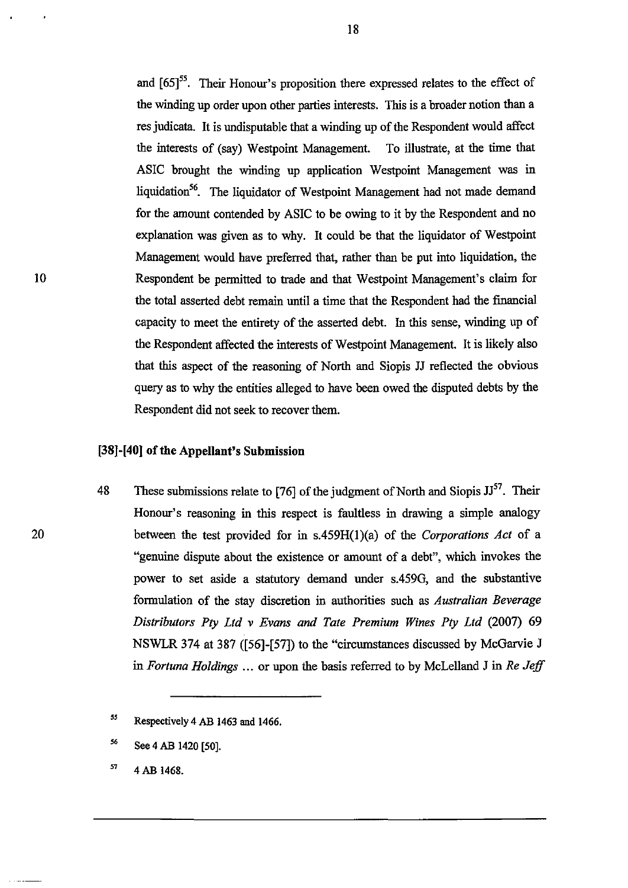and  $[65]$ <sup>55</sup>. Their Honour's proposition there expressed relates to the effect of the winding up order upon other parties interests. This is a broader notion than a res judicata. It is undisputable that a winding up of the Respondent would affect the interests of ( say) Westpoint Management. To illustrate, at the time that ASIC brought the winding up application Westpoint Management was in liquidation<sup>56</sup>. The liquidator of Westpoint Management had not made demand for the amount contended by ASIC to be owing to it by the Respondent and no explanation was given as to why. It could be that the liquidator of Westpoint Management would have preferred that, rather than be put into liquidation, the Respondent be perruitted to trade and that Westpoint Management's claim for the total asserted debt remain until a time that the Respondent had the financial capacity to meet the entirety of the asserted debt. In this sense, winding up of the Respondent affected the interests of Westpoint Management. It is likely also that this aspect of the reasoning of North and Siopis JJ reflected the obvious query as to why the entities alleged to have been owed the disputed debts by the Respondent did not seek to recover them.

## [38]-[40] of the Appellant's Submission

48 These submissions relate to [76] of the judgment of North and Siopis  $JJ<sup>57</sup>$ . Their Honour's reasoning in this respect is faultless in drawing a simple analogy between the test provided for in s,459H(I)(a) of the *Corporations Act* of a "genuine dispute about the existence or amount of a debt", which invokes the power to set aside a statutory demand under s.459G, and the substantive formulation of the stay discretion in authorities such as *Australian Beverage Distributors Pty Ltd* v *Evans and Tate Premium Wines Pty Ltd* (2007) 69 NSWLR 374 at 387 ([56]-[57]) to the "circumstances discussed by McGarvie J in *Fortuna Holdings* ... or upon the basis referred to by McLelland J in *Re Jeff* 

*ss*  Respectively 4 AB 1463 and 1466.

*S6*  See 4 AB 1420 [50].

*S7*  4AB 1468.